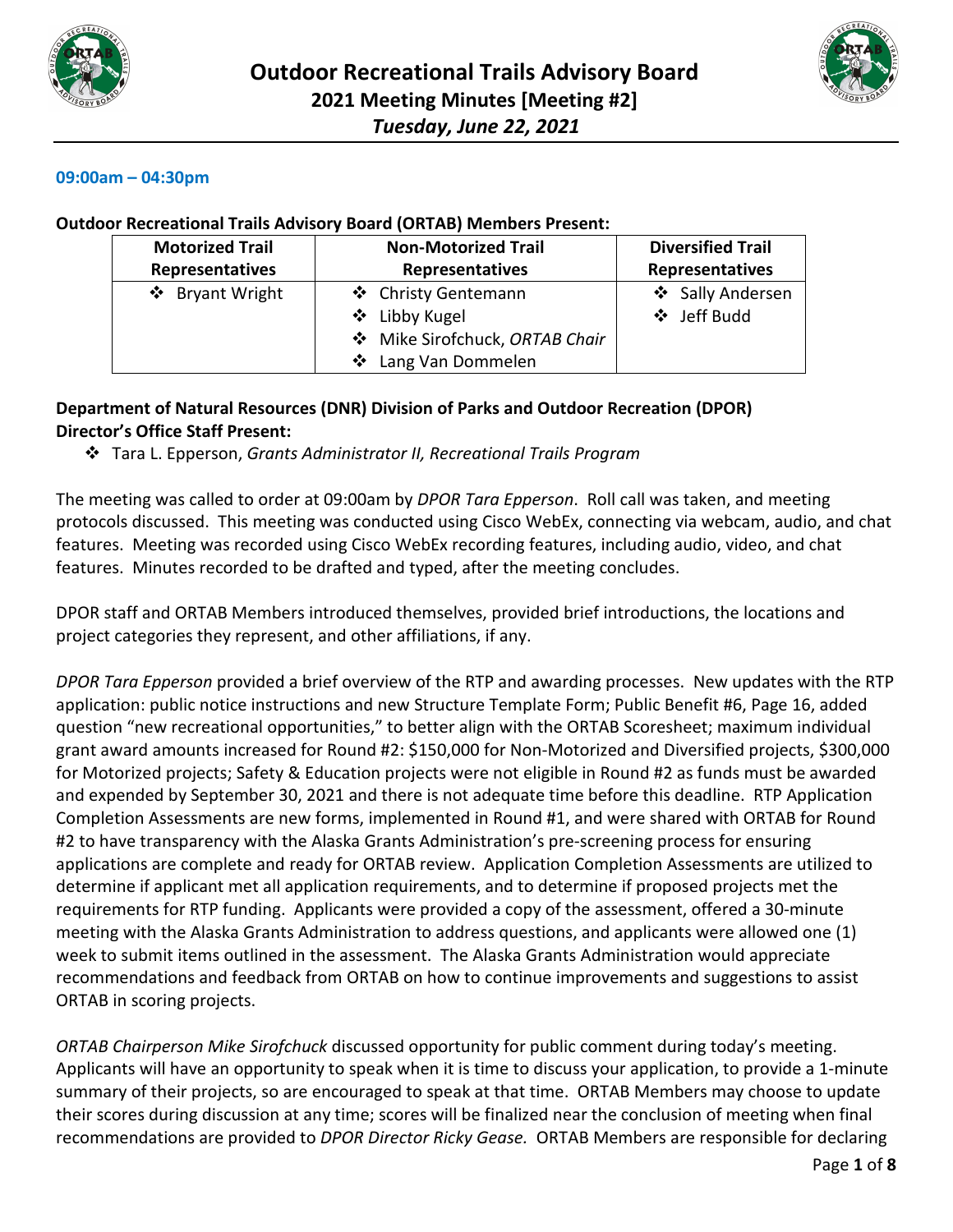



#### **09:00am – 04:30pm**

#### **Outdoor Recreational Trails Advisory Board (ORTAB) Members Present:**

| <b>Motorized Trail</b> | <b>Non-Motorized Trail</b>   | <b>Diversified Trail</b><br><b>Representatives</b> |  |
|------------------------|------------------------------|----------------------------------------------------|--|
| Representatives        | Representatives              |                                                    |  |
| ❖ Bryant Wright        | ❖ Christy Gentemann          | ❖ Sally Andersen                                   |  |
|                        | ❖ Libby Kugel                | ❖ Jeff Budd                                        |  |
|                        | Mike Sirofchuck, ORTAB Chair |                                                    |  |
|                        | ❖ Lang Van Dommelen          |                                                    |  |

### **Department of Natural Resources (DNR) Division of Parks and Outdoor Recreation (DPOR) Director's Office Staff Present:**

Tara L. Epperson, *Grants Administrator II, Recreational Trails Program*

The meeting was called to order at 09:00am by *DPOR Tara Epperson*. Roll call was taken, and meeting protocols discussed. This meeting was conducted using Cisco WebEx, connecting via webcam, audio, and chat features. Meeting was recorded using Cisco WebEx recording features, including audio, video, and chat features. Minutes recorded to be drafted and typed, after the meeting concludes.

DPOR staff and ORTAB Members introduced themselves, provided brief introductions, the locations and project categories they represent, and other affiliations, if any.

*DPOR Tara Epperson* provided a brief overview of the RTP and awarding processes. New updates with the RTP application: public notice instructions and new Structure Template Form; Public Benefit #6, Page 16, added question "new recreational opportunities," to better align with the ORTAB Scoresheet; maximum individual grant award amounts increased for Round #2: \$150,000 for Non-Motorized and Diversified projects, \$300,000 for Motorized projects; Safety & Education projects were not eligible in Round #2 as funds must be awarded and expended by September 30, 2021 and there is not adequate time before this deadline. RTP Application Completion Assessments are new forms, implemented in Round #1, and were shared with ORTAB for Round #2 to have transparency with the Alaska Grants Administration's pre-screening process for ensuring applications are complete and ready for ORTAB review. Application Completion Assessments are utilized to determine if applicant met all application requirements, and to determine if proposed projects met the requirements for RTP funding. Applicants were provided a copy of the assessment, offered a 30-minute meeting with the Alaska Grants Administration to address questions, and applicants were allowed one (1) week to submit items outlined in the assessment. The Alaska Grants Administration would appreciate recommendations and feedback from ORTAB on how to continue improvements and suggestions to assist ORTAB in scoring projects.

*ORTAB Chairperson Mike Sirofchuck* discussed opportunity for public comment during today's meeting. Applicants will have an opportunity to speak when it is time to discuss your application, to provide a 1-minute summary of their projects, so are encouraged to speak at that time. ORTAB Members may choose to update their scores during discussion at any time; scores will be finalized near the conclusion of meeting when final recommendations are provided to *DPOR Director Ricky Gease.* ORTAB Members are responsible for declaring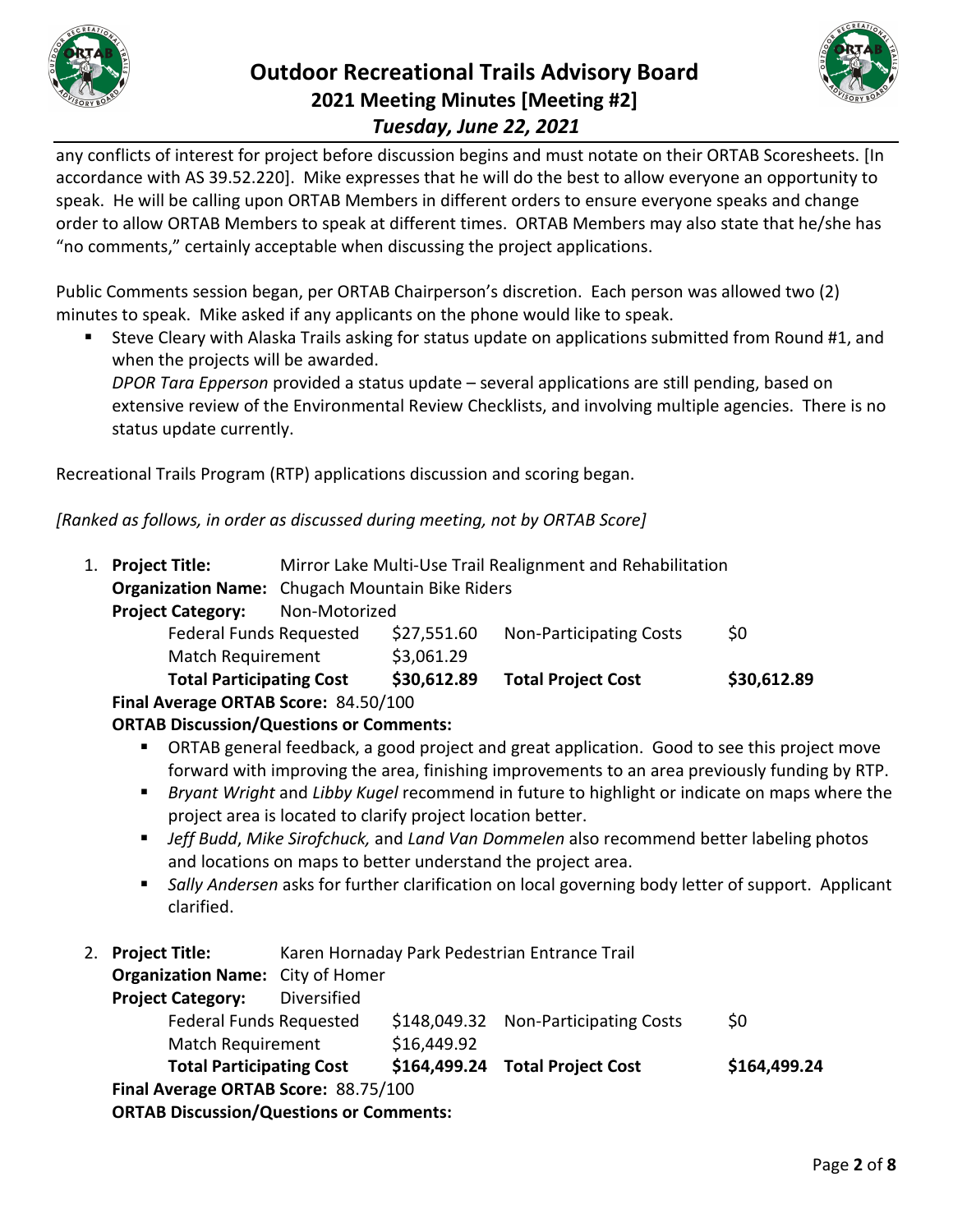

# **Outdoor Recreational Trails Advisory Board 2021 Meeting Minutes [Meeting #2]** *Tuesday, June 22, 2021*



any conflicts of interest for project before discussion begins and must notate on their ORTAB Scoresheets. [In accordance with AS 39.52.220]. Mike expresses that he will do the best to allow everyone an opportunity to speak. He will be calling upon ORTAB Members in different orders to ensure everyone speaks and change order to allow ORTAB Members to speak at different times. ORTAB Members may also state that he/she has "no comments," certainly acceptable when discussing the project applications.

Public Comments session began, per ORTAB Chairperson's discretion. Each person was allowed two (2) minutes to speak. Mike asked if any applicants on the phone would like to speak.

 Steve Cleary with Alaska Trails asking for status update on applications submitted from Round #1, and when the projects will be awarded.

*DPOR Tara Epperson* provided a status update – several applications are still pending, based on extensive review of the Environmental Review Checklists, and involving multiple agencies. There is no status update currently.

Recreational Trails Program (RTP) applications discussion and scoring began.

*[Ranked as follows, in order as discussed during meeting, not by ORTAB Score]*

| 1. Project Title:                         | Mirror Lake Multi-Use Trail Realignment and Rehabilitation |             |                                |             |  |
|-------------------------------------------|------------------------------------------------------------|-------------|--------------------------------|-------------|--|
|                                           | <b>Organization Name:</b> Chugach Mountain Bike Riders     |             |                                |             |  |
| <b>Project Category:</b><br>Non-Motorized |                                                            |             |                                |             |  |
| <b>Federal Funds Requested</b>            |                                                            | \$27,551.60 | <b>Non-Participating Costs</b> | \$0         |  |
| <b>Match Requirement</b>                  |                                                            | \$3,061.29  |                                |             |  |
| <b>Total Participating Cost</b>           |                                                            | \$30,612.89 | <b>Total Project Cost</b>      | \$30,612.89 |  |
| Final Average ORTAB Score: 84.50/100      |                                                            |             |                                |             |  |

### **ORTAB Discussion/Questions or Comments:**

- ORTAB general feedback, a good project and great application. Good to see this project move forward with improving the area, finishing improvements to an area previously funding by RTP.
- *Bryant Wright* and *Libby Kugel* recommend in future to highlight or indicate on maps where the project area is located to clarify project location better.
- *Jeff Budd*, *Mike Sirofchuck,* and *Land Van Dommelen* also recommend better labeling photos and locations on maps to better understand the project area.
- *Sally Andersen* asks for further clarification on local governing body letter of support. Applicant clarified.
- 2. **Project Title:** Karen Hornaday Park Pedestrian Entrance Trail

**Organization Name:** City of Homer

| <b>Project Category:</b>                       | Diversified |             |                                      |              |
|------------------------------------------------|-------------|-------------|--------------------------------------|--------------|
| <b>Federal Funds Requested</b>                 |             |             | \$148,049.32 Non-Participating Costs | \$0          |
| <b>Match Requirement</b>                       |             | \$16,449.92 |                                      |              |
| <b>Total Participating Cost</b>                |             |             | \$164,499.24 Total Project Cost      | \$164,499.24 |
| Final Average ORTAB Score: 88.75/100           |             |             |                                      |              |
| <b>ORTAB Discussion/Questions or Comments:</b> |             |             |                                      |              |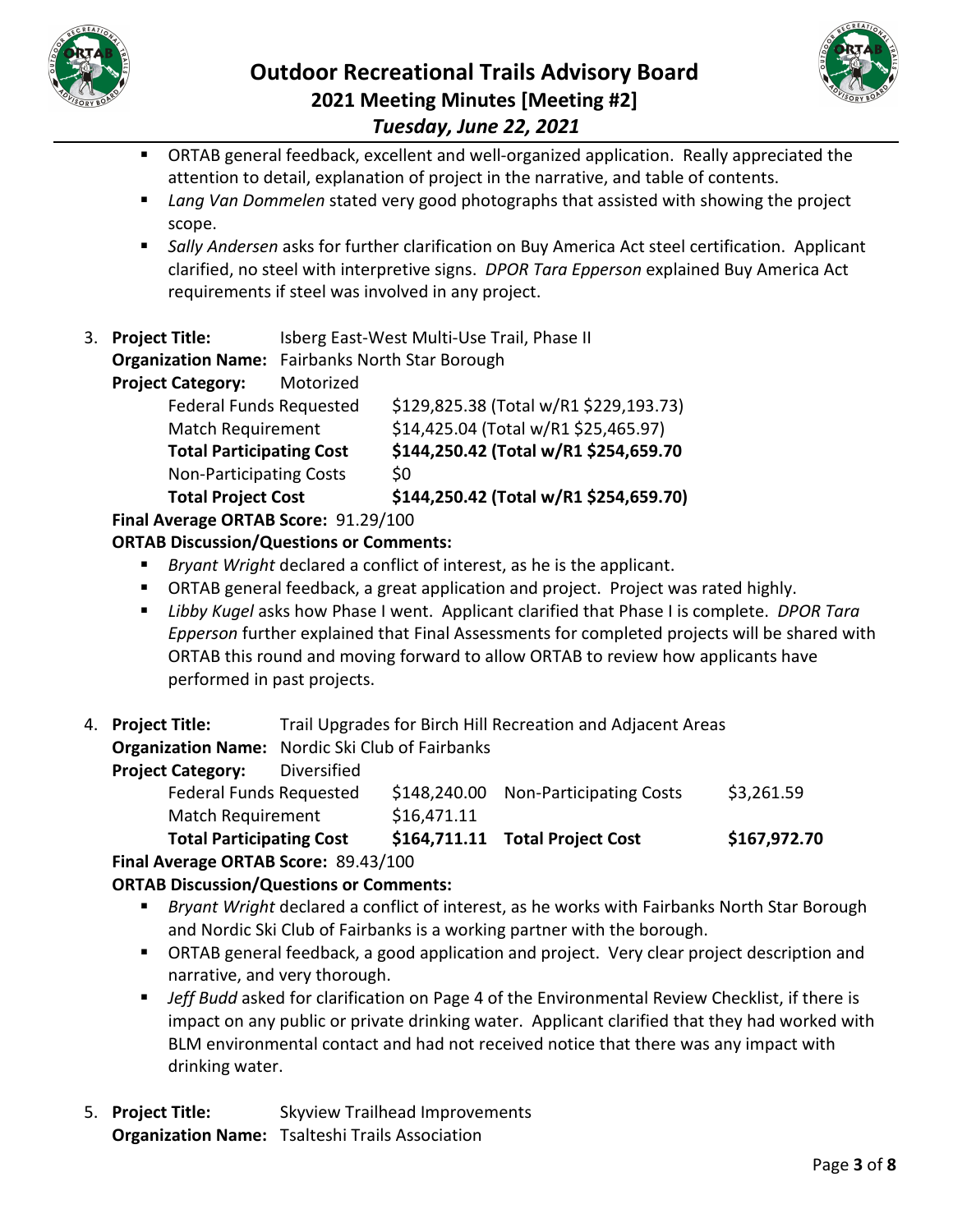



- ORTAB general feedback, excellent and well-organized application. Really appreciated the attention to detail, explanation of project in the narrative, and table of contents.
- *Lang Van Dommelen* stated very good photographs that assisted with showing the project scope.
- *Sally Andersen* asks for further clarification on Buy America Act steel certification. Applicant clarified, no steel with interpretive signs. *DPOR Tara Epperson* explained Buy America Act requirements if steel was involved in any project.
- 3. **Project Title:** Isberg East-West Multi-Use Trail, Phase II

**Organization Name:** Fairbanks North Star Borough

**Project Category:** Motorized

| <b>Total Project Cost</b>       | \$144,250.42 (Total w/R1 \$254,659.70) |
|---------------------------------|----------------------------------------|
| <b>Non-Participating Costs</b>  | \$0                                    |
| <b>Total Participating Cost</b> | \$144,250.42 (Total w/R1 \$254,659.70  |
| <b>Match Requirement</b>        | \$14,425.04 (Total w/R1 \$25,465.97)   |
| <b>Federal Funds Requested</b>  | \$129,825.38 (Total w/R1 \$229,193.73) |
|                                 |                                        |

**Final Average ORTAB Score:** 91.29/100

## **ORTAB Discussion/Questions or Comments:**

- *Bryant Wright* declared a conflict of interest, as he is the applicant.
- ORTAB general feedback, a great application and project. Project was rated highly.
- *Libby Kugel* asks how Phase I went. Applicant clarified that Phase I is complete. *DPOR Tara Epperson* further explained that Final Assessments for completed projects will be shared with ORTAB this round and moving forward to allow ORTAB to review how applicants have performed in past projects.
- 4. **Project Title:** Trail Upgrades for Birch Hill Recreation and Adjacent Areas

**Organization Name:** Nordic Ski Club of Fairbanks

| <b>Total Participating Cost</b> |             |              | \$164,711.11 Total Project Cost | \$167,972.70 |
|---------------------------------|-------------|--------------|---------------------------------|--------------|
| <b>Match Requirement</b>        |             | \$16,471.11  |                                 |              |
| <b>Federal Funds Requested</b>  |             | \$148,240.00 | <b>Non-Participating Costs</b>  | \$3,261.59   |
| <b>Project Category:</b>        | Diversified |              |                                 |              |
|                                 |             |              |                                 |              |

**Final Average ORTAB Score:** 89.43/100

**ORTAB Discussion/Questions or Comments:**

- *Bryant Wright* declared a conflict of interest, as he works with Fairbanks North Star Borough and Nordic Ski Club of Fairbanks is a working partner with the borough.
- ORTAB general feedback, a good application and project. Very clear project description and narrative, and very thorough.
- *Jeff Budd* asked for clarification on Page 4 of the Environmental Review Checklist, if there is impact on any public or private drinking water. Applicant clarified that they had worked with BLM environmental contact and had not received notice that there was any impact with drinking water.
- 5. **Project Title:** Skyview Trailhead Improvements **Organization Name:** Tsalteshi Trails Association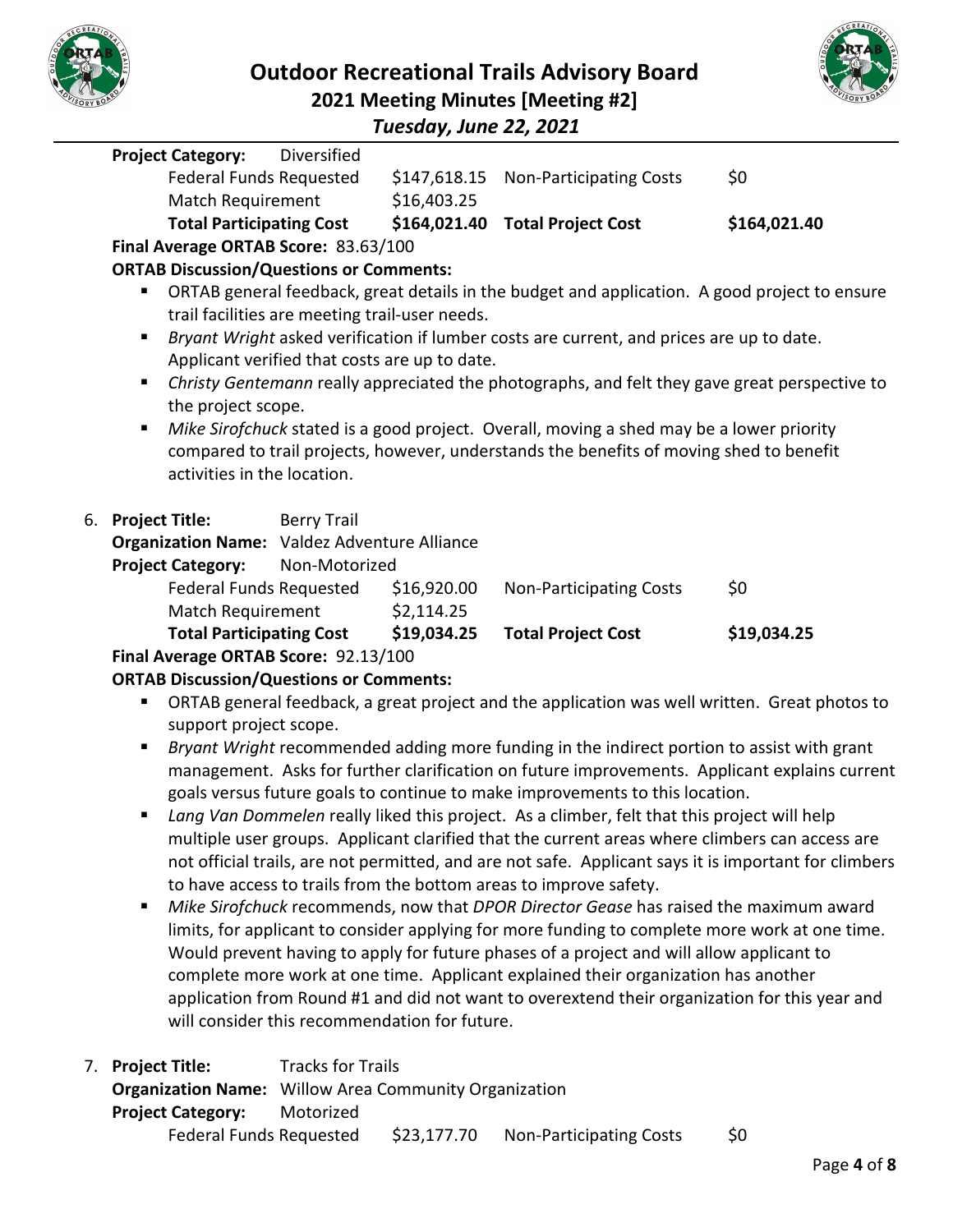



*Tuesday, June 22, 2021*

|    | <b>Project Category:</b>                                                                                                                                                            | Diversified        |              |                                                                                          |                                                                                               |  |  |  |
|----|-------------------------------------------------------------------------------------------------------------------------------------------------------------------------------------|--------------------|--------------|------------------------------------------------------------------------------------------|-----------------------------------------------------------------------------------------------|--|--|--|
|    | Federal Funds Requested                                                                                                                                                             |                    | \$147,618.15 | <b>Non-Participating Costs</b>                                                           | \$0                                                                                           |  |  |  |
|    | Match Requirement                                                                                                                                                                   |                    | \$16,403.25  |                                                                                          |                                                                                               |  |  |  |
|    | <b>Total Participating Cost</b>                                                                                                                                                     |                    |              | \$164,021.40 Total Project Cost                                                          | \$164,021.40                                                                                  |  |  |  |
|    | Final Average ORTAB Score: 83.63/100                                                                                                                                                |                    |              |                                                                                          |                                                                                               |  |  |  |
|    | <b>ORTAB Discussion/Questions or Comments:</b>                                                                                                                                      |                    |              |                                                                                          |                                                                                               |  |  |  |
|    | ш                                                                                                                                                                                   |                    |              |                                                                                          | ORTAB general feedback, great details in the budget and application. A good project to ensure |  |  |  |
|    | trail facilities are meeting trail-user needs.                                                                                                                                      |                    |              |                                                                                          |                                                                                               |  |  |  |
|    |                                                                                                                                                                                     |                    |              | Bryant Wright asked verification if lumber costs are current, and prices are up to date. |                                                                                               |  |  |  |
|    | Applicant verified that costs are up to date.                                                                                                                                       |                    |              |                                                                                          |                                                                                               |  |  |  |
|    | ٠                                                                                                                                                                                   |                    |              |                                                                                          | Christy Gentemann really appreciated the photographs, and felt they gave great perspective to |  |  |  |
|    | the project scope.                                                                                                                                                                  |                    |              |                                                                                          |                                                                                               |  |  |  |
|    | Mike Sirofchuck stated is a good project. Overall, moving a shed may be a lower priority<br>compared to trail projects, however, understands the benefits of moving shed to benefit |                    |              |                                                                                          |                                                                                               |  |  |  |
|    |                                                                                                                                                                                     |                    |              |                                                                                          |                                                                                               |  |  |  |
|    | activities in the location.                                                                                                                                                         |                    |              |                                                                                          |                                                                                               |  |  |  |
| 6. | <b>Project Title:</b>                                                                                                                                                               | <b>Berry Trail</b> |              |                                                                                          |                                                                                               |  |  |  |
|    | <b>Organization Name:</b> Valdez Adventure Alliance                                                                                                                                 |                    |              |                                                                                          |                                                                                               |  |  |  |
|    | <b>Project Category:</b>                                                                                                                                                            | Non-Motorized      |              |                                                                                          |                                                                                               |  |  |  |
|    | Federal Funds Requested                                                                                                                                                             |                    | \$16,920.00  | <b>Non-Participating Costs</b>                                                           | \$0                                                                                           |  |  |  |
|    | Match Requirement                                                                                                                                                                   |                    | \$2,114.25   |                                                                                          |                                                                                               |  |  |  |
|    | <b>Total Participating Cost</b>                                                                                                                                                     |                    | \$19,034.25  | <b>Total Project Cost</b>                                                                | \$19,034.25                                                                                   |  |  |  |
|    | Final Average ORTAB Score: 92.13/100                                                                                                                                                |                    |              |                                                                                          |                                                                                               |  |  |  |
|    | <b>ORTAB Discussion/Questions or Comments:</b>                                                                                                                                      |                    |              |                                                                                          |                                                                                               |  |  |  |
|    | ш                                                                                                                                                                                   |                    |              |                                                                                          | ORTAB general feedback, a great project and the application was well written. Great photos to |  |  |  |
|    | support project scope.                                                                                                                                                              |                    |              |                                                                                          |                                                                                               |  |  |  |
|    |                                                                                                                                                                                     |                    |              |                                                                                          | Priant Wright recommended adding more funding in the indirect pertien to accist with grant    |  |  |  |

- *Bryant Wright* recommended adding more funding in the indirect portion to assist with grant management. Asks for further clarification on future improvements. Applicant explains current goals versus future goals to continue to make improvements to this location.
- *Lang Van Dommelen* really liked this project. As a climber, felt that this project will help multiple user groups. Applicant clarified that the current areas where climbers can access are not official trails, are not permitted, and are not safe. Applicant says it is important for climbers to have access to trails from the bottom areas to improve safety.
- *Mike Sirofchuck* recommends, now that *DPOR Director Gease* has raised the maximum award limits, for applicant to consider applying for more funding to complete more work at one time. Would prevent having to apply for future phases of a project and will allow applicant to complete more work at one time. Applicant explained their organization has another application from Round #1 and did not want to overextend their organization for this year and will consider this recommendation for future.
- 7. **Project Title:** Tracks for Trails **Organization Name:** Willow Area Community Organization **Project Category:** Motorized Federal Funds Requested \$23,177.70 Non-Participating Costs \$0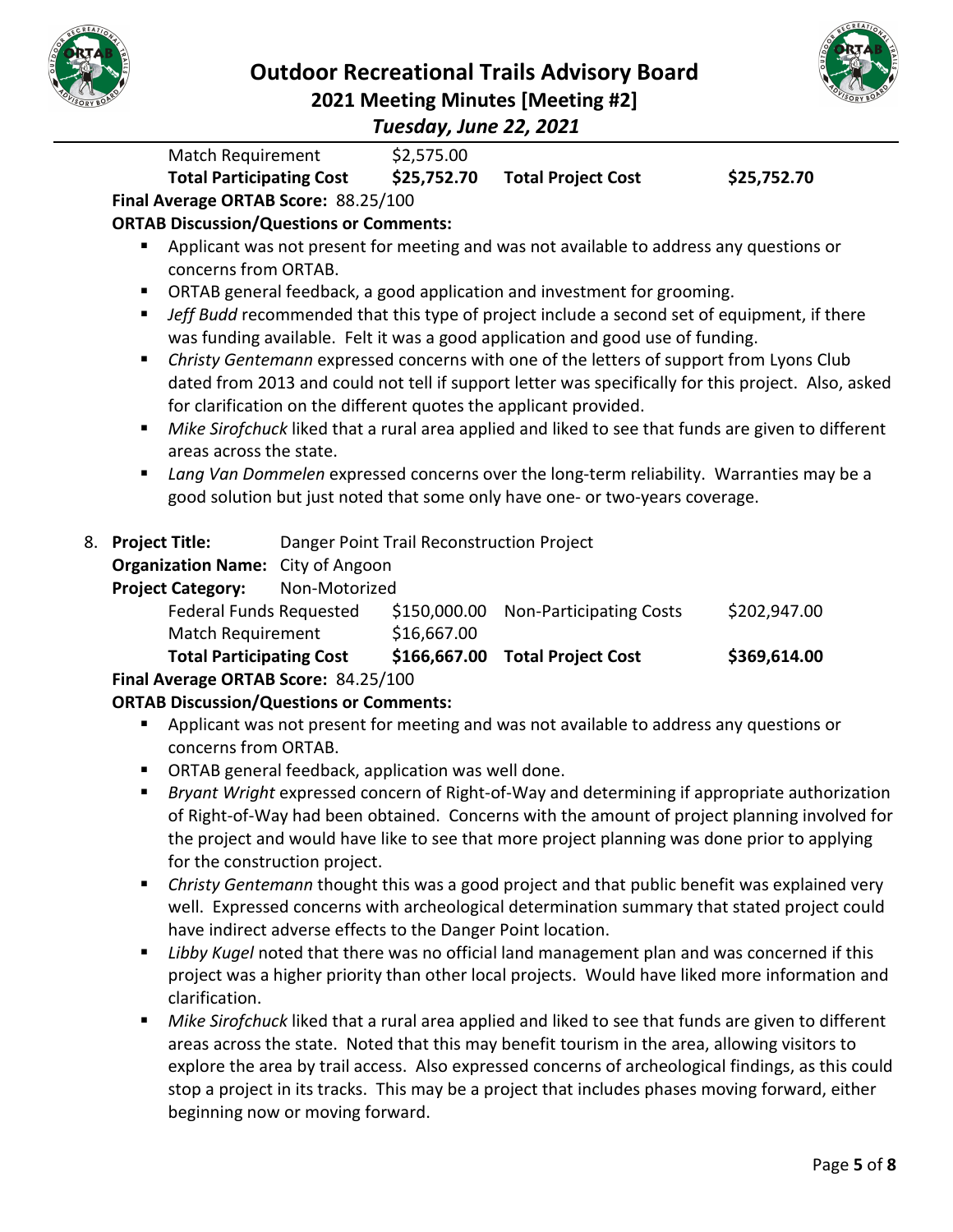



*Tuesday, June 22, 2021*

Match Requirement \$2,575.00 **Total Participating Cost \$25,752.70 Total Project Cost \$25,752.70 Final Average ORTAB Score:** 88.25/100 **ORTAB Discussion/Questions or Comments: •** Applicant was not present for meeting and was not available to address any questions or concerns from ORTAB. ORTAB general feedback, a good application and investment for grooming. *Jeff Budd* recommended that this type of project include a second set of equipment, if there was funding available. Felt it was a good application and good use of funding. *Christy Gentemann* expressed concerns with one of the letters of support from Lyons Club dated from 2013 and could not tell if support letter was specifically for this project. Also, asked for clarification on the different quotes the applicant provided. *Mike Sirofchuck* liked that a rural area applied and liked to see that funds are given to different areas across the state. *Lang Van Dommelen* expressed concerns over the long-term reliability. Warranties may be a good solution but just noted that some only have one- or two-years coverage. 8. **Project Title:** Danger Point Trail Reconstruction Project **Organization Name:** City of Angoon **Project Category:** Non-Motorized Federal Funds Requested \$150,000.00 Non-Participating Costs \$202,947.00 Match Requirement \$16,667.00 **Total Participating Cost \$166,667.00 Total Project Cost \$369,614.00 Final Average ORTAB Score:** 84.25/100 **ORTAB Discussion/Questions or Comments: Applicant was not present for meeting and was not available to address any questions or** concerns from ORTAB.

- **ORTAB general feedback, application was well done.**
- *Bryant Wright* expressed concern of Right-of-Way and determining if appropriate authorization of Right-of-Way had been obtained. Concerns with the amount of project planning involved for the project and would have like to see that more project planning was done prior to applying for the construction project.
- *Christy Gentemann* thought this was a good project and that public benefit was explained very well. Expressed concerns with archeological determination summary that stated project could have indirect adverse effects to the Danger Point location.
- **Libby Kugel noted that there was no official land management plan and was concerned if this** project was a higher priority than other local projects. Would have liked more information and clarification.
- *Mike Sirofchuck* liked that a rural area applied and liked to see that funds are given to different areas across the state. Noted that this may benefit tourism in the area, allowing visitors to explore the area by trail access. Also expressed concerns of archeological findings, as this could stop a project in its tracks. This may be a project that includes phases moving forward, either beginning now or moving forward.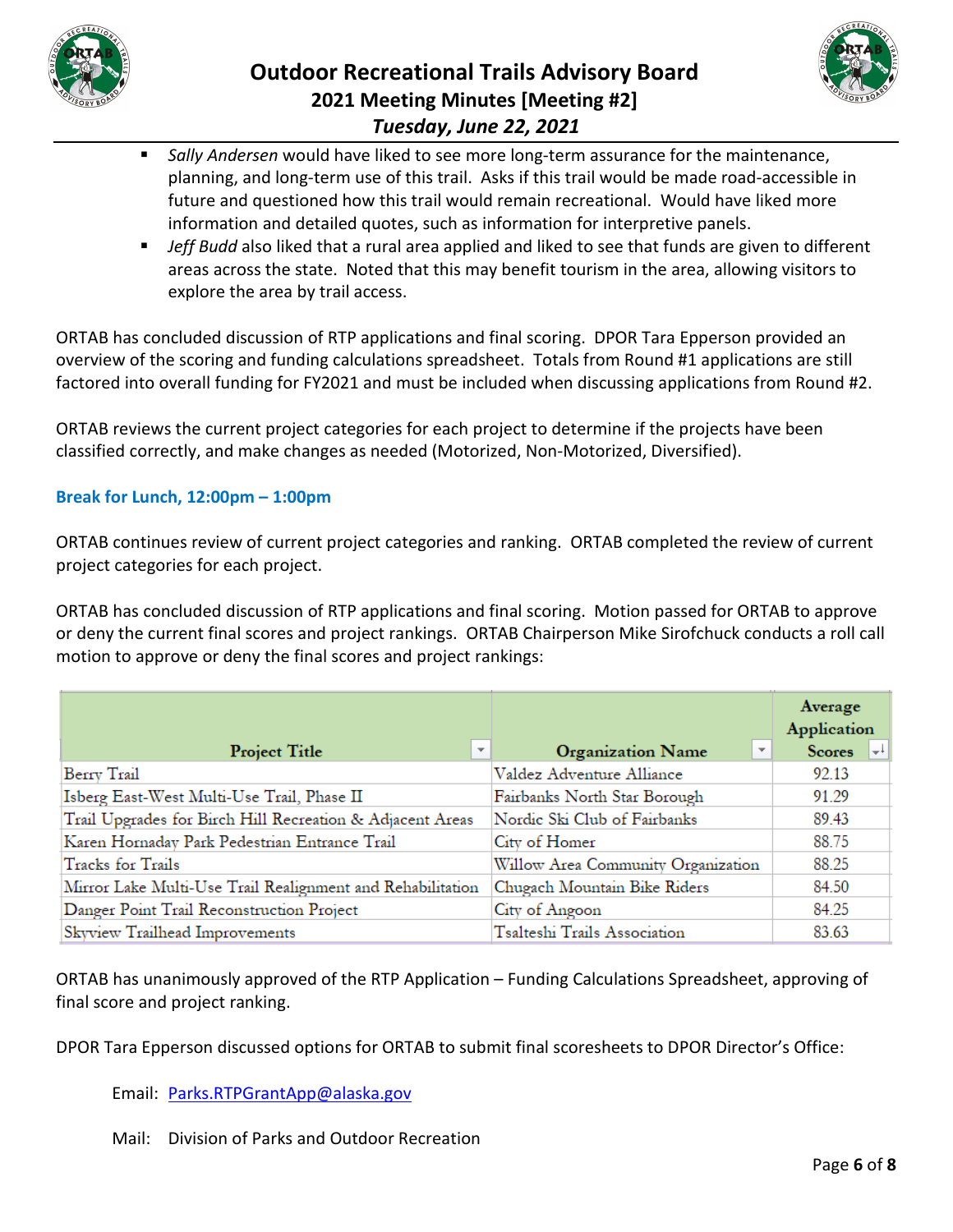

# **Outdoor Recreational Trails Advisory Board 2021 Meeting Minutes [Meeting #2]** *Tuesday, June 22, 2021*



- *Sally Andersen* would have liked to see more long-term assurance for the maintenance, planning, and long-term use of this trail. Asks if this trail would be made road-accessible in future and questioned how this trail would remain recreational. Would have liked more information and detailed quotes, such as information for interpretive panels.
- **Jeff Budd also liked that a rural area applied and liked to see that funds are given to different** areas across the state. Noted that this may benefit tourism in the area, allowing visitors to explore the area by trail access.

ORTAB has concluded discussion of RTP applications and final scoring. DPOR Tara Epperson provided an overview of the scoring and funding calculations spreadsheet. Totals from Round #1 applications are still factored into overall funding for FY2021 and must be included when discussing applications from Round #2.

ORTAB reviews the current project categories for each project to determine if the projects have been classified correctly, and make changes as needed (Motorized, Non-Motorized, Diversified).

### **Break for Lunch, 12:00pm – 1:00pm**

ORTAB continues review of current project categories and ranking. ORTAB completed the review of current project categories for each project.

ORTAB has concluded discussion of RTP applications and final scoring. Motion passed for ORTAB to approve or deny the current final scores and project rankings. ORTAB Chairperson Mike Sirofchuck conducts a roll call motion to approve or deny the final scores and project rankings:

|                                                            |                                                     | Average<br><b>Application</b> |
|------------------------------------------------------------|-----------------------------------------------------|-------------------------------|
| $\overline{\mathbf{v}}$<br>Project Title                   | $\overline{\mathbf{v}}$<br><b>Organization Name</b> | Scores $\left  \cdot \right $ |
| Berry Trail                                                | Valdez Adventure Alliance                           | 92.13                         |
| Isberg East-West Multi-Use Trail, Phase II                 | Fairbanks North Star Borough                        | 91.29                         |
| Trail Upgrades for Birch Hill Recreation & Adjacent Areas  | Nordic Ski Club of Fairbanks                        | 89.43                         |
| Karen Hornaday Park Pedestrian Entrance Trail              | City of Homer                                       | 88.75                         |
| <b>Tracks</b> for Trails                                   | Willow Area Community Organization                  | 88.25                         |
| Mirror Lake Multi-Use Trail Realignment and Rehabilitation | Chugach Mountain Bike Riders                        | 84.50                         |
| Danger Point Trail Reconstruction Project                  | City of Angoon                                      | 84.25                         |
| Skyview Trailhead Improvements                             | Tsalteshi Trails Association                        | 83.63                         |

ORTAB has unanimously approved of the RTP Application – Funding Calculations Spreadsheet, approving of final score and project ranking.

DPOR Tara Epperson discussed options for ORTAB to submit final scoresheets to DPOR Director's Office:

Email: [Parks.RTPGrantApp@alaska.gov](mailto:Parks.RTPGrantApp@alaska.gov)

Mail: Division of Parks and Outdoor Recreation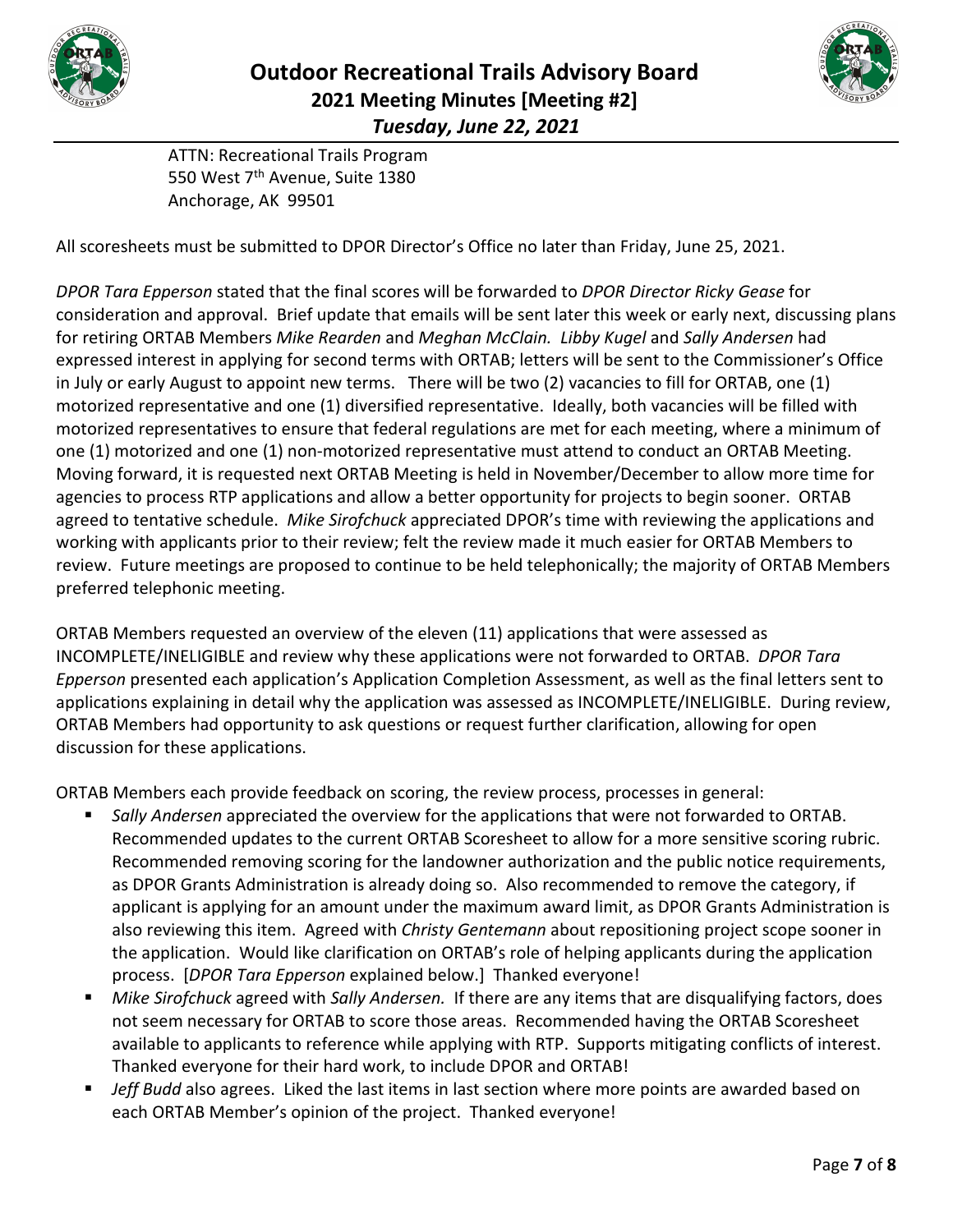



ATTN: Recreational Trails Program 550 West 7<sup>th</sup> Avenue, Suite 1380 Anchorage, AK 99501

All scoresheets must be submitted to DPOR Director's Office no later than Friday, June 25, 2021.

*DPOR Tara Epperson* stated that the final scores will be forwarded to *DPOR Director Ricky Gease* for consideration and approval. Brief update that emails will be sent later this week or early next, discussing plans for retiring ORTAB Members *Mike Rearden* and *Meghan McClain. Libby Kugel* and *Sally Andersen* had expressed interest in applying for second terms with ORTAB; letters will be sent to the Commissioner's Office in July or early August to appoint new terms. There will be two (2) vacancies to fill for ORTAB, one (1) motorized representative and one (1) diversified representative. Ideally, both vacancies will be filled with motorized representatives to ensure that federal regulations are met for each meeting, where a minimum of one (1) motorized and one (1) non-motorized representative must attend to conduct an ORTAB Meeting. Moving forward, it is requested next ORTAB Meeting is held in November/December to allow more time for agencies to process RTP applications and allow a better opportunity for projects to begin sooner. ORTAB agreed to tentative schedule. *Mike Sirofchuck* appreciated DPOR's time with reviewing the applications and working with applicants prior to their review; felt the review made it much easier for ORTAB Members to review. Future meetings are proposed to continue to be held telephonically; the majority of ORTAB Members preferred telephonic meeting.

ORTAB Members requested an overview of the eleven (11) applications that were assessed as INCOMPLETE/INELIGIBLE and review why these applications were not forwarded to ORTAB. *DPOR Tara Epperson* presented each application's Application Completion Assessment, as well as the final letters sent to applications explaining in detail why the application was assessed as INCOMPLETE/INELIGIBLE. During review, ORTAB Members had opportunity to ask questions or request further clarification, allowing for open discussion for these applications.

ORTAB Members each provide feedback on scoring, the review process, processes in general:

- *Sally Andersen* appreciated the overview for the applications that were not forwarded to ORTAB. Recommended updates to the current ORTAB Scoresheet to allow for a more sensitive scoring rubric. Recommended removing scoring for the landowner authorization and the public notice requirements, as DPOR Grants Administration is already doing so. Also recommended to remove the category, if applicant is applying for an amount under the maximum award limit, as DPOR Grants Administration is also reviewing this item. Agreed with *Christy Gentemann* about repositioning project scope sooner in the application. Would like clarification on ORTAB's role of helping applicants during the application process. [*DPOR Tara Epperson* explained below.] Thanked everyone!
- *Mike Sirofchuck* agreed with *Sally Andersen.* If there are any items that are disqualifying factors, does not seem necessary for ORTAB to score those areas. Recommended having the ORTAB Scoresheet available to applicants to reference while applying with RTP. Supports mitigating conflicts of interest. Thanked everyone for their hard work, to include DPOR and ORTAB!
- *Jeff Budd* also agrees. Liked the last items in last section where more points are awarded based on each ORTAB Member's opinion of the project. Thanked everyone!